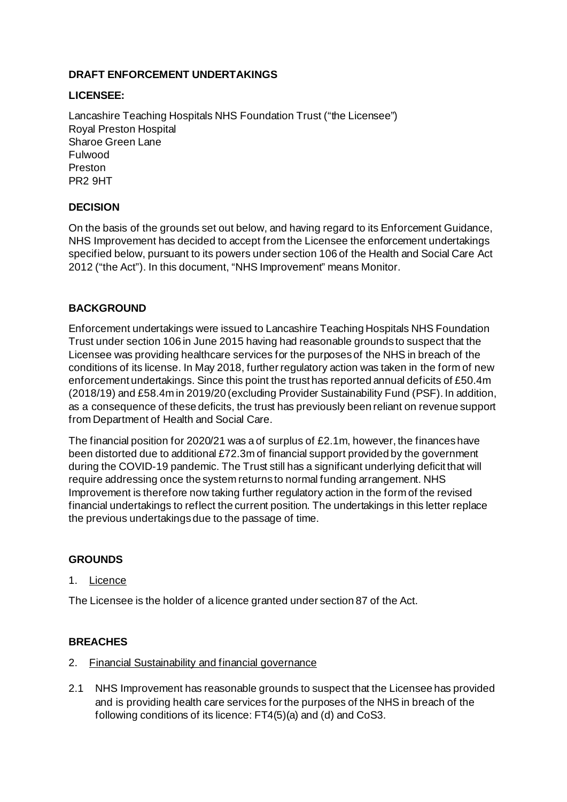## **DRAFT ENFORCEMENT UNDERTAKINGS**

### **LICENSEE:**

Lancashire Teaching Hospitals NHS Foundation Trust ("the Licensee") Royal Preston Hospital Sharoe Green Lane Fulwood Preston PR2 9HT

## **DECISION**

On the basis of the grounds set out below, and having regard to its Enforcement Guidance, NHS Improvement has decided to accept from the Licensee the enforcement undertakings specified below, pursuant to its powers under section 106 of the Health and Social Care Act 2012 ("the Act"). In this document, "NHS Improvement" means Monitor.

## **BACKGROUND**

Enforcement undertakings were issued to Lancashire Teaching Hospitals NHS Foundation Trust under section 106 in June 2015 having had reasonable grounds to suspect that the Licensee was providing healthcare services for the purposes of the NHS in breach of the conditions of its license. In May 2018, further regulatory action was taken in the form of new enforcement undertakings. Since this point the trust has reported annual deficits of £50.4m (2018/19) and £58.4m in 2019/20 (excluding Provider Sustainability Fund (PSF). In addition, as a consequence of these deficits, the trust has previously been reliant on revenue support from Department of Health and Social Care.

The financial position for 2020/21 was a of surplus of £2.1m, however, the finances have been distorted due to additional £72.3m of financial support provided by the government during the COVID-19 pandemic. The Trust still has a significant underlying deficit that will require addressing once the system returns to normal funding arrangement. NHS Improvement is therefore now taking further regulatory action in the form of the revised financial undertakings to reflect the current position. The undertakings in this letter replace the previous undertakings due to the passage of time.

### **GROUNDS**

### 1. Licence

The Licensee is the holder of a licence granted under section 87 of the Act.

### **BREACHES**

- 2. Financial Sustainability and financial governance
- 2.1 NHS Improvement has reasonable grounds to suspect that the Licensee has provided and is providing health care services for the purposes of the NHS in breach of the following conditions of its licence: FT4(5)(a) and (d) and CoS3.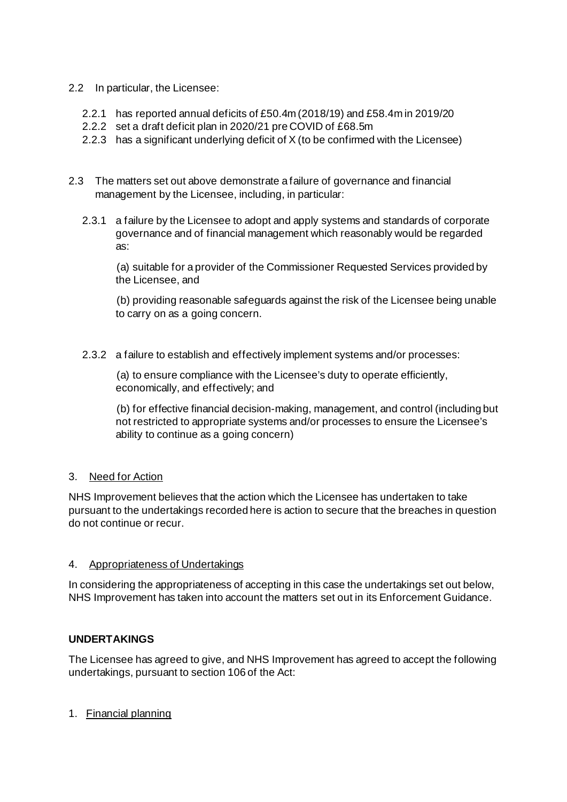## 2.2 In particular, the Licensee:

- 2.2.1 has reported annual deficits of £50.4m (2018/19) and £58.4m in 2019/20
- 2.2.2 set a draft deficit plan in 2020/21 pre COVID of £68.5m
- 2.2.3 has a significant underlying deficit of X (to be confirmed with the Licensee)
- 2.3 The matters set out above demonstrate a failure of governance and financial management by the Licensee, including, in particular:
	- 2.3.1 a failure by the Licensee to adopt and apply systems and standards of corporate governance and of financial management which reasonably would be regarded as:

(a) suitable for a provider of the Commissioner Requested Services provided by the Licensee, and

(b) providing reasonable safeguards against the risk of the Licensee being unable to carry on as a going concern.

2.3.2 a failure to establish and effectively implement systems and/or processes:

(a) to ensure compliance with the Licensee's duty to operate efficiently, economically, and effectively; and

(b) for effective financial decision-making, management, and control (including but not restricted to appropriate systems and/or processes to ensure the Licensee's ability to continue as a going concern)

## 3. Need for Action

NHS Improvement believes that the action which the Licensee has undertaken to take pursuant to the undertakings recorded here is action to secure that the breaches in question do not continue or recur.

### 4. Appropriateness of Undertakings

In considering the appropriateness of accepting in this case the undertakings set out below, NHS Improvement has taken into account the matters set out in its Enforcement Guidance.

### **UNDERTAKINGS**

The Licensee has agreed to give, and NHS Improvement has agreed to accept the following undertakings, pursuant to section 106 of the Act:

### 1. Financial planning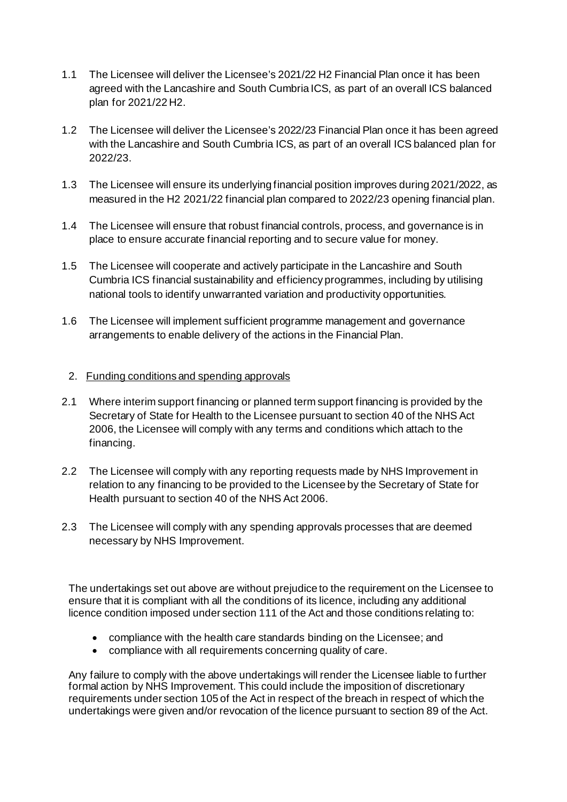- 1.1 The Licensee will deliver the Licensee's 2021/22 H2 Financial Plan once it has been agreed with the Lancashire and South Cumbria ICS, as part of an overall ICS balanced plan for 2021/22 H2.
- 1.2 The Licensee will deliver the Licensee's 2022/23 Financial Plan once it has been agreed with the Lancashire and South Cumbria ICS, as part of an overall ICS balanced plan for 2022/23.
- 1.3 The Licensee will ensure its underlying financial position improves during 2021/2022, as measured in the H2 2021/22 financial plan compared to 2022/23 opening financial plan.
- 1.4 The Licensee will ensure that robust financial controls, process, and governance is in place to ensure accurate financial reporting and to secure value for money.
- 1.5 The Licensee will cooperate and actively participate in the Lancashire and South Cumbria ICS financial sustainability and efficiency programmes, including by utilising national tools to identify unwarranted variation and productivity opportunities.
- 1.6 The Licensee will implement sufficient programme management and governance arrangements to enable delivery of the actions in the Financial Plan.

## 2. Funding conditions and spending approvals

- 2.1 Where interim support financing or planned term support financing is provided by the Secretary of State for Health to the Licensee pursuant to section 40 of the NHS Act 2006, the Licensee will comply with any terms and conditions which attach to the financing.
- 2.2 The Licensee will comply with any reporting requests made by NHS Improvement in relation to any financing to be provided to the Licensee by the Secretary of State for Health pursuant to section 40 of the NHS Act 2006.
- 2.3 The Licensee will comply with any spending approvals processes that are deemed necessary by NHS Improvement.

The undertakings set out above are without prejudice to the requirement on the Licensee to ensure that it is compliant with all the conditions of its licence, including any additional licence condition imposed under section 111 of the Act and those conditions relating to:

- compliance with the health care standards binding on the Licensee; and
- compliance with all requirements concerning quality of care.

Any failure to comply with the above undertakings will render the Licensee liable to further formal action by NHS Improvement. This could include the imposition of discretionary requirements under section 105 of the Act in respect of the breach in respect of which the undertakings were given and/or revocation of the licence pursuant to section 89 of the Act.